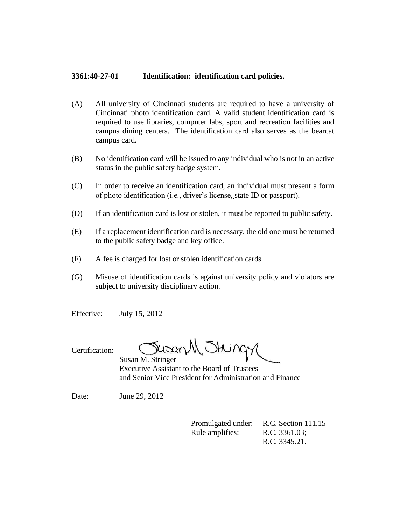## **3361:40-27-01 Identification: identification card policies.**

- (A) All university of Cincinnati students are required to have a university of Cincinnati photo identification card. A valid student identification card is required to use libraries, computer labs, sport and recreation facilities and campus dining centers. The identification card also serves as the bearcat campus card.
- (B) No identification card will be issued to any individual who is not in an active status in the public safety badge system.
- (C) In order to receive an identification card, an individual must present a form of photo identification (i.e., driver's license, state ID or passport).
- (D) If an identification card is lost or stolen, it must be reported to public safety.
- (E) If a replacement identification card is necessary, the old one must be returned to the public safety badge and key office.
- (F) A fee is charged for lost or stolen identification cards.
- (G) Misuse of identification cards is against university policy and violators are subject to university disciplinary action.
- Effective: July 15, 2012

Certification:

thing. Susan M. Stringer

Executive Assistant to the Board of Trustees and Senior Vice President for Administration and Finance

Date: June 29, 2012

Promulgated under: R.C. Section 111.15 Rule amplifies: R.C. 3361.03; R.C. 3345.21.